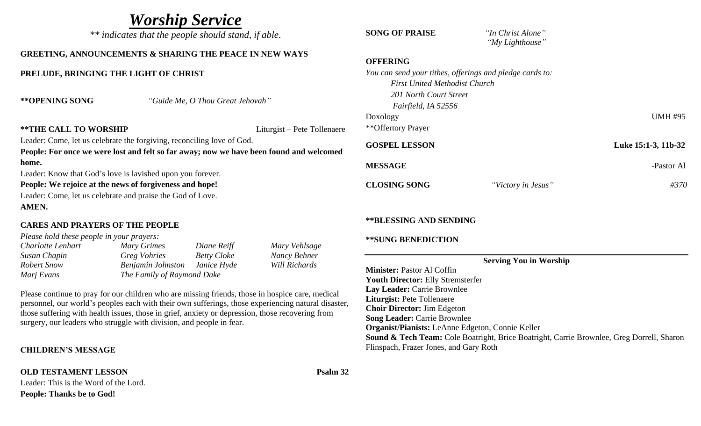| <b>Worship Service</b> |  |  |
|------------------------|--|--|

<sup>122</sup> **SONG OF PRAISE** *"In Christ Alone" \*\* indicates that the people should stand, if able.*

## **GREETING, ANNOUNCEMENTS & SHARING THE PEACE IN NEW WAYS**

## **PRELUDE, BRINGING THE LIGHT OF CHRIST**

**\*\*OPENING SONG** *"Guide Me, O Thou Great Jehovah"*

**\*\*THE CALL TO WORSHIP Liturgist – Pete Tollen** Leader: Come, let us celebrate the forgiving, reconciling love of God. People: For once we were lost and felt so far away; now we have been found and welcon **home.**  Leader: Know that God's love is lavished upon you forever. **People: We rejoice at the news of forgiveness and hope!** Leader: Come, let us celebrate and praise the God of Love.

## **AMEN.**

#### **CARES AND PRAYERS OF THE PEOPLE**

| Please hold these people in your prayers: |                            |                    |               |
|-------------------------------------------|----------------------------|--------------------|---------------|
| Charlotte Lenhart                         | Mary Grimes                | Diane Reiff        | Mary Vehlsage |
| Susan Chapin                              | Greg Vohries               | <b>Betty Cloke</b> | Nancy Behner  |
| Robert Snow                               | Benjamin Johnston          | Janice Hyde        | Will Richards |
| Marj Evans                                | The Family of Raymond Dake |                    |               |

Please continue to pray for our children who are missing friends, those in hospice care, medipersonnel, our world's peoples each with their own sufferings, those experiencing natural disaster. those suffering with health issues, those in grief, anxiety or depression, those recovering from surgery, our leaders who struggle with division, and people in fear.

#### **CHILDREN'S MESSAGE**

Leader: This is the Word of the Lord. **People: Thanks be to God!**

|                                                                  | "My Lighthouse"                                                                           |                     |
|------------------------------------------------------------------|-------------------------------------------------------------------------------------------|---------------------|
| <b>OFFERING</b>                                                  |                                                                                           |                     |
| You can send your tithes, offerings and pledge cards to:         |                                                                                           |                     |
| <b>First United Methodist Church</b>                             |                                                                                           |                     |
| 201 North Court Street                                           |                                                                                           |                     |
| Fairfield, IA 52556                                              |                                                                                           |                     |
| Doxology                                                         |                                                                                           | <b>UMH #95</b>      |
| ** Offertory Prayer                                              |                                                                                           |                     |
| <b>GOSPEL LESSON</b>                                             |                                                                                           | Luke 15:1-3, 11b-32 |
| <b>MESSAGE</b>                                                   |                                                                                           | -Pastor Al          |
| <b>CLOSING SONG</b>                                              | "Victory in Jesus"                                                                        | #370                |
| <b>**BLESSING AND SENDING</b><br>** SUNG BENEDICTION             |                                                                                           |                     |
|                                                                  | <b>Serving You in Worship</b>                                                             |                     |
| <b>Minister: Pastor Al Coffin</b>                                |                                                                                           |                     |
| Youth Director: Elly Stremsterfer                                |                                                                                           |                     |
| Lay Leader: Carrie Brownlee                                      |                                                                                           |                     |
| Liturgist: Pete Tollenaere<br><b>Choir Director: Jim Edgeton</b> |                                                                                           |                     |
| <b>Song Leader: Carrie Brownlee</b>                              |                                                                                           |                     |
| Organist/Pianists: LeAnne Edgeton, Connie Keller                 |                                                                                           |                     |
| Flinspach, Frazer Jones, and Gary Roth                           | Sound & Tech Team: Cole Boatright, Brice Boatright, Carrie Brownlee, Greg Dorrell, Sharon |                     |
|                                                                  |                                                                                           |                     |